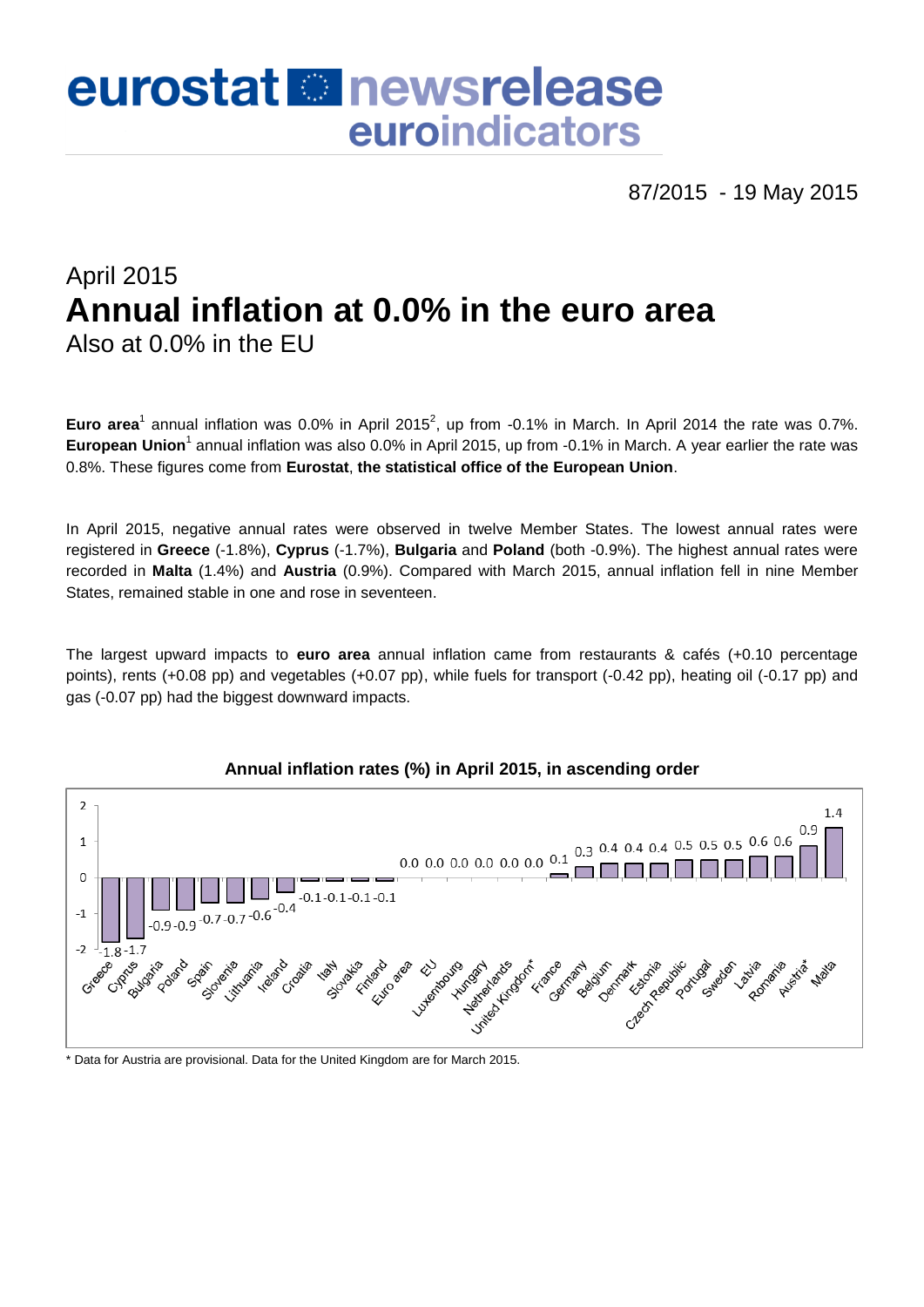# eurostat **Et newsrelease** euroindicators

87/2015 - 19 May 2015

## April 2015 **Annual inflation at 0.0% in the euro area** Also at 0.0% in the EU

Euro area<sup>1</sup> annual inflation was 0.0% in April 2015<sup>2</sup>, up from -0.1% in March. In April 2014 the rate was 0.7%. European Union<sup>1</sup> annual inflation was also 0.0% in April 2015, up from -0.1% in March. A year earlier the rate was 0.8%. These figures come from **Eurostat**, **the statistical office of the European Union**.

In April 2015, negative annual rates were observed in twelve Member States. The lowest annual rates were registered in **Greece** (-1.8%), **Cyprus** (-1.7%), **Bulgaria** and **Poland** (both -0.9%). The highest annual rates were recorded in **Malta** (1.4%) and **Austria** (0.9%). Compared with March 2015, annual inflation fell in nine Member States, remained stable in one and rose in seventeen.

The largest upward impacts to **euro area** annual inflation came from restaurants & cafés (+0.10 percentage points), rents (+0.08 pp) and vegetables (+0.07 pp), while fuels for transport (-0.42 pp), heating oil (-0.17 pp) and gas (-0.07 pp) had the biggest downward impacts.



### **Annual inflation rates (%) in April 2015, in ascending order**

\* Data for Austria are provisional. Data for the United Kingdom are for March 2015.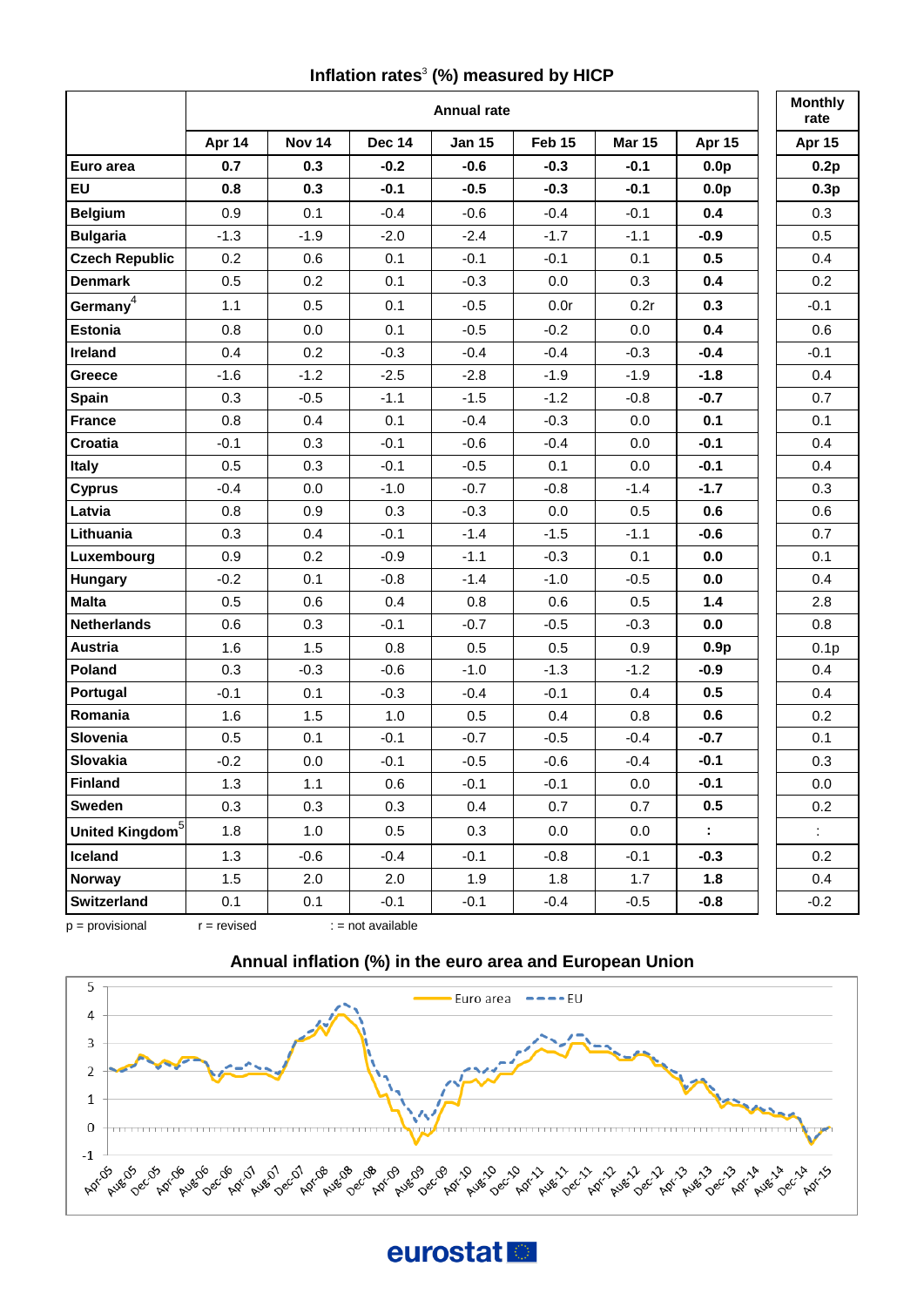#### **Inflation rates**<sup>3</sup> **(%) measured by HICP**

|                             | <b>Annual rate</b> |               |               |               |        |               |                       | <b>Monthly</b><br>rate |
|-----------------------------|--------------------|---------------|---------------|---------------|--------|---------------|-----------------------|------------------------|
|                             | Apr 14             | <b>Nov 14</b> | <b>Dec 14</b> | <b>Jan 15</b> | Feb 15 | <b>Mar 15</b> | Apr 15                | Apr 15                 |
| Euro area                   | 0.7                | 0.3           | $-0.2$        | $-0.6$        | $-0.3$ | $-0.1$        | 0.0 <sub>p</sub>      | 0.2p                   |
| <b>EU</b>                   | 0.8                | 0.3           | $-0.1$        | $-0.5$        | $-0.3$ | $-0.1$        | 0.0 <sub>p</sub>      | 0.3p                   |
| <b>Belgium</b>              | 0.9                | 0.1           | $-0.4$        | $-0.6$        | $-0.4$ | $-0.1$        | 0.4                   | 0.3                    |
| <b>Bulgaria</b>             | $-1.3$             | $-1.9$        | $-2.0$        | $-2.4$        | $-1.7$ | $-1.1$        | $-0.9$                | 0.5                    |
| <b>Czech Republic</b>       | 0.2                | 0.6           | 0.1           | $-0.1$        | $-0.1$ | 0.1           | 0.5                   | 0.4                    |
| <b>Denmark</b>              | 0.5                | 0.2           | 0.1           | $-0.3$        | 0.0    | 0.3           | 0.4                   | 0.2                    |
| Germany $4$                 | 1.1                | 0.5           | 0.1           | $-0.5$        | 0.0r   | 0.2r          | 0.3                   | $-0.1$                 |
| <b>Estonia</b>              | 0.8                | 0.0           | 0.1           | $-0.5$        | $-0.2$ | 0.0           | 0.4                   | 0.6                    |
| Ireland                     | 0.4                | 0.2           | $-0.3$        | $-0.4$        | $-0.4$ | $-0.3$        | $-0.4$                | $-0.1$                 |
| Greece                      | $-1.6$             | $-1.2$        | $-2.5$        | $-2.8$        | $-1.9$ | $-1.9$        | $-1.8$                | 0.4                    |
| <b>Spain</b>                | 0.3                | $-0.5$        | $-1.1$        | $-1.5$        | $-1.2$ | $-0.8$        | $-0.7$                | 0.7                    |
| <b>France</b>               | 0.8                | 0.4           | 0.1           | $-0.4$        | $-0.3$ | 0.0           | 0.1                   | 0.1                    |
| Croatia                     | $-0.1$             | 0.3           | $-0.1$        | $-0.6$        | $-0.4$ | 0.0           | $-0.1$                | 0.4                    |
| <b>Italy</b>                | 0.5                | 0.3           | $-0.1$        | $-0.5$        | 0.1    | 0.0           | $-0.1$                | 0.4                    |
| <b>Cyprus</b>               | $-0.4$             | 0.0           | $-1.0$        | $-0.7$        | $-0.8$ | $-1.4$        | $-1.7$                | 0.3                    |
| Latvia                      | 0.8                | 0.9           | 0.3           | $-0.3$        | 0.0    | 0.5           | 0.6                   | 0.6                    |
| Lithuania                   | 0.3                | 0.4           | $-0.1$        | $-1.4$        | $-1.5$ | $-1.1$        | $-0.6$                | 0.7                    |
| Luxembourg                  | 0.9                | 0.2           | $-0.9$        | $-1.1$        | $-0.3$ | 0.1           | 0.0                   | 0.1                    |
| Hungary                     | $-0.2$             | 0.1           | $-0.8$        | $-1.4$        | $-1.0$ | $-0.5$        | 0.0                   | 0.4                    |
| <b>Malta</b>                | 0.5                | 0.6           | 0.4           | 0.8           | 0.6    | 0.5           | 1.4                   | 2.8                    |
| <b>Netherlands</b>          | 0.6                | 0.3           | $-0.1$        | $-0.7$        | $-0.5$ | $-0.3$        | 0.0                   | 0.8                    |
| <b>Austria</b>              | 1.6                | 1.5           | 0.8           | 0.5           | 0.5    | 0.9           | 0.9p                  | 0.1 <sub>p</sub>       |
| Poland                      | 0.3                | $-0.3$        | $-0.6$        | $-1.0$        | $-1.3$ | $-1.2$        | $-0.9$                | 0.4                    |
| Portugal                    | $-0.1$             | 0.1           | $-0.3$        | $-0.4$        | $-0.1$ | 0.4           | 0.5                   | 0.4                    |
| Romania                     | 1.6                | 1.5           | 1.0           | 0.5           | 0.4    | 0.8           | 0.6                   | 0.2                    |
| Slovenia                    | 0.5                | 0.1           | $-0.1$        | $-0.7$        | $-0.5$ | $-0.4$        | $-0.7$                | 0.1                    |
| Slovakia                    | $-0.2$             | 0.0           | $-0.1$        | $-0.5$        | $-0.6$ | $-0.4$        | $-0.1$                | 0.3                    |
| <b>Finland</b>              | 1.3                | 1.1           | 0.6           | $-0.1$        | $-0.1$ | 0.0           | $-0.1$                | 0.0                    |
| Sweden                      | 0.3                | 0.3           | 0.3           | 0.4           | 0.7    | 0.7           | 0.5                   | 0.2                    |
| United Kingdom <sup>5</sup> | 1.8                | 1.0           | 0.5           | 0.3           | 0.0    | 0.0           | $\mathbb{Z}^{\times}$ | $\mathbb{R}^3$         |
| Iceland                     | 1.3                | $-0.6$        | $-0.4$        | $-0.1$        | $-0.8$ | $-0.1$        | -0.3                  | 0.2                    |
| <b>Norway</b>               | 1.5                | 2.0           | 2.0           | 1.9           | 1.8    | 1.7           | 1.8                   | 0.4                    |
| Switzerland                 | 0.1                | 0.1           | $-0.1$        | $-0.1$        | $-0.4$ | $-0.5$        | $-0.8$                | $-0.2$                 |



 $p =$  provisional  $r =$  revised  $\vdots =$  not available